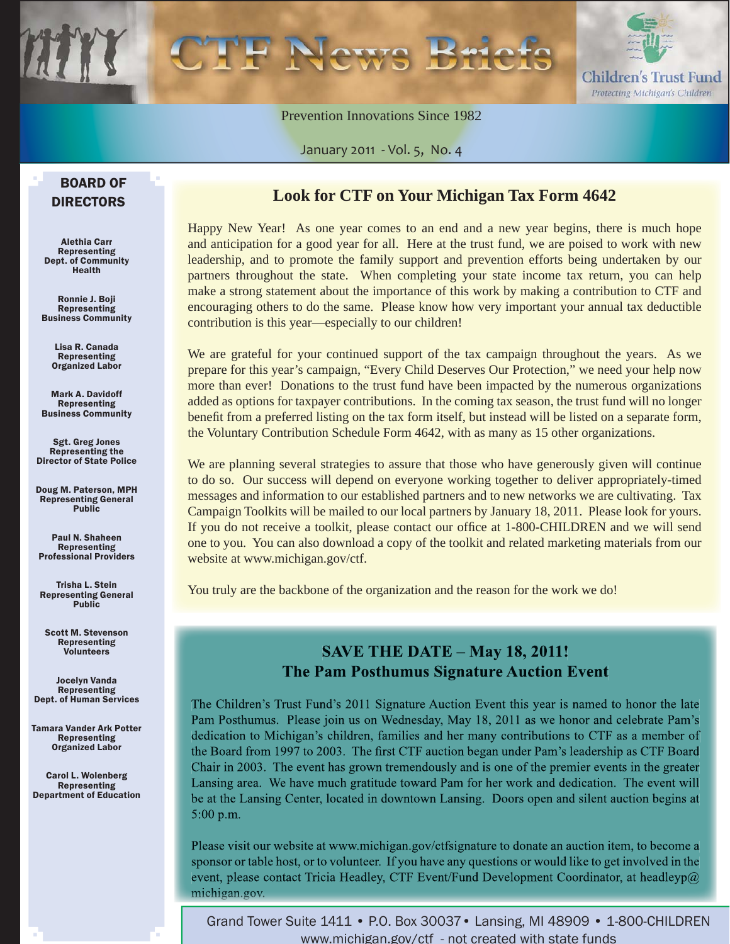

Prevention Innovations Since 1982

January 2011 - Vol. 5, No. 4

#### BOARD OF DIRECTORS

Alethia Carr Representing Dept. of Community Health

Ronnie J. Boji **Representing** Business Community

> Lisa R. Canada Representing Organized Labor

Mark A. Davidoff Representing Business Community

Sgt. Greg Jones Representing the Director of State Police

Doug M. Paterson, MPH Representing General Public

Paul N. Shaheen Representing Professional Providers

Trisha L. Stein Representing General Public

Scott M. Stevenson Representing Volunteers

Jocelyn Vanda **Representing** Dept. of Human Services

Tamara Vander Ark Potter Representing Organized Labor

Carol L. Wolenberg Representing Department of Education

#### **Look for CTF on Your Michigan Tax Form 4642**

Happy New Year! As one year comes to an end and a new year begins, there is much hope and anticipation for a good year for all. Here at the trust fund, we are poised to work with new leadership, and to promote the family support and prevention efforts being undertaken by our partners throughout the state. When completing your state income tax return, you can help make a strong statement about the importance of this work by making a contribution to CTF and encouraging others to do the same. Please know how very important your annual tax deductible contribution is this year—especially to our children!

We are grateful for your continued support of the tax campaign throughout the years. As we prepare for this year's campaign, "Every Child Deserves Our Protection," we need your help now more than ever! Donations to the trust fund have been impacted by the numerous organizations added as options for taxpayer contributions. In the coming tax season, the trust fund will no longer benefit from a preferred listing on the tax form itself, but instead will be listed on a separate form, the Voluntary Contribution Schedule Form 4642, with as many as 15 other organizations.

We are planning several strategies to assure that those who have generously given will continue to do so. Our success will depend on everyone working together to deliver appropriately-timed messages and information to our established partners and to new networks we are cultivating. Tax Campaign Toolkits will be mailed to our local partners by January 18, 2011. Please look for yours. If you do not receive a toolkit, please contact our office at 1-800-CHILDREN and we will send one to you. You can also download a copy of the toolkit and related marketing materials from our website at www.michigan.gov/ctf.

You truly are the backbone of the organization and the reason for the work we do!

#### **SAVE THE DATE - May 18, 2011! The Pam Posthumus Signature Auction Event**

The Children's Trust Fund's 2011 Signature Auction Event this year is named to honor the late Pam Posthumus. Please join us on Wednesday, May 18, 2011 as we honor and celebrate Pam's dedication to Michigan's children, families and her many contributions to CTF as a member of the Board from 1997 to 2003. The first CTF auction began under Pam's leadership as CTF Board Chair in 2003. The event has grown tremendously and is one of the premier events in the greater Lansing area. We have much gratitude toward Pam for her work and dedication. The event will be at the Lansing Center, located in downtown Lansing. Doors open and silent auction begins at  $5:00$  p.m.

Please visit our website at www.michigan.gov/ctfsignature to donate an auction item, to become a sponsor or table host, or to volunteer. If you have any questions or would like to get involved in the event, please contact Tricia Headley, CTF Event/Fund Development Coordinator, at headleyp $@$ michigan.gov.

Grand Tower Suite 1411 • P.O. Box 30037• Lansing, MI 48909 • 1-800-CHILDREN www.michigan.gov/ctf - not created with state funds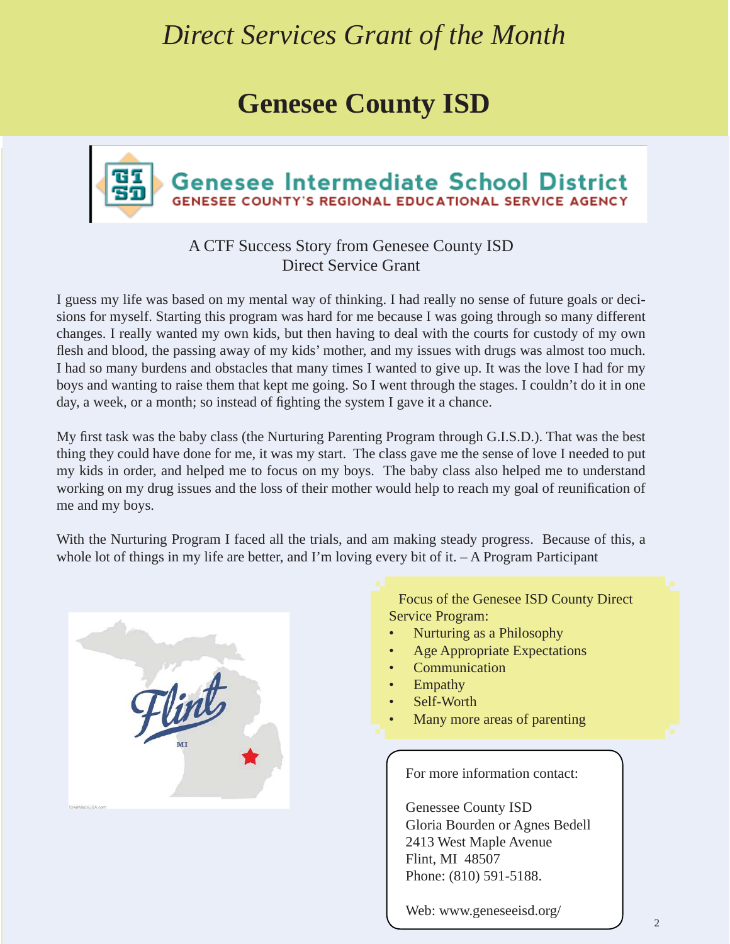# *Direct Services Grant of the Month*

# **Genesee County ISD**



#### A CTF Success Story from Genesee County ISD Direct Service Grant

I guess my life was based on my mental way of thinking. I had really no sense of future goals or decisions for myself. Starting this program was hard for me because I was going through so many different changes. I really wanted my own kids, but then having to deal with the courts for custody of my own flesh and blood, the passing away of my kids' mother, and my issues with drugs was almost too much. I had so many burdens and obstacles that many times I wanted to give up. It was the love I had for my boys and wanting to raise them that kept me going. So I went through the stages. I couldn't do it in one day, a week, or a month; so instead of fighting the system I gave it a chance.

My first task was the baby class (the Nurturing Parenting Program through G.I.S.D.). That was the best thing they could have done for me, it was my start. The class gave me the sense of love I needed to put my kids in order, and helped me to focus on my boys. The baby class also helped me to understand working on my drug issues and the loss of their mother would help to reach my goal of reunification of me and my boys.

With the Nurturing Program I faced all the trials, and am making steady progress. Because of this, a whole lot of things in my life are better, and I'm loving every bit of it. - A Program Participant



Focus of the Genesee ISD County Direct Service Program:

- Nurturing as a Philosophy
- Age Appropriate Expectations
- **Communication**
- Empathy
- Self-Worth
- Many more areas of parenting

For more information contact:

Genessee County ISD Gloria Bourden or Agnes Bedell 2413 West Maple Avenue Flint, MI 48507 Phone: (810) 591-5188.

Web: www.geneseeisd.org/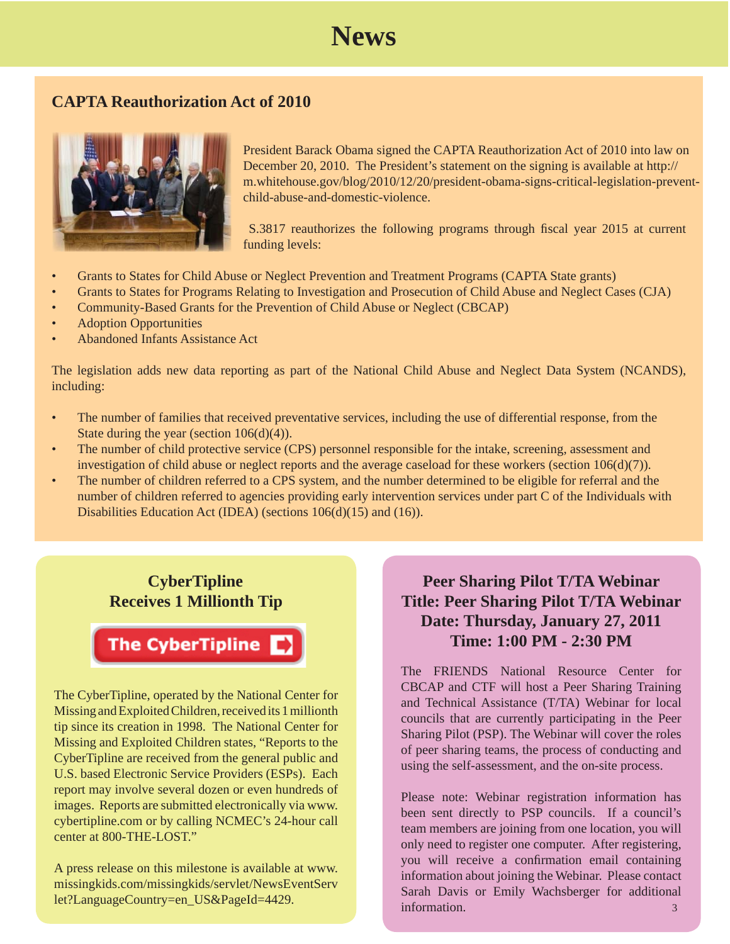### **News**

#### **CAPTA Reauthorization Act of 2010**



President Barack Obama signed the CAPTA Reauthorization Act of 2010 into law on December 20, 2010. The President's statement on the signing is available at http:// m.whitehouse.gov/blog/2010/12/20/president-obama-signs-critical-legislation-preventchild-abuse-and-domestic-violence.

S.3817 reauthorizes the following programs through fiscal year 2015 at current funding levels:

- Grants to States for Child Abuse or Neglect Prevention and Treatment Programs (CAPTA State grants)
- Grants to States for Programs Relating to Investigation and Prosecution of Child Abuse and Neglect Cases (CJA)
- Community-Based Grants for the Prevention of Child Abuse or Neglect (CBCAP)
- Adoption Opportunities
- Abandoned Infants Assistance Act

The legislation adds new data reporting as part of the National Child Abuse and Neglect Data System (NCANDS), including:

- The number of families that received preventative services, including the use of differential response, from the State during the year (section 106(d)(4)).
- The number of child protective service (CPS) personnel responsible for the intake, screening, assessment and investigation of child abuse or neglect reports and the average caseload for these workers (section 106(d)(7)).
- The number of children referred to a CPS system, and the number determined to be eligible for referral and the number of children referred to agencies providing early intervention services under part C of the Individuals with Disabilities Education Act (IDEA) (sections 106(d)(15) and (16)).

#### **CyberTipline Receives 1 Millionth Tip**

### The CyberTipline

The CyberTipline, operated by the National Center for Missing and Exploited Children, received its 1 millionth tip since its creation in 1998. The National Center for Missing and Exploited Children states, "Reports to the CyberTipline are received from the general public and U.S. based Electronic Service Providers (ESPs). Each report may involve several dozen or even hundreds of images. Reports are submitted electronically via www. cybertipline.com or by calling NCMEC's 24-hour call center at 800-THE-LOST."

A press release on this milestone is available at www. [missingkids.com/missingkids/servlet/NewsEventServ](http://www.missingkids.com/missingkids/servlet/NewsEventServlet?LanguageCountry=en_US&PageId=4429) let?LanguageCountry=en\_US&PageId=4429.

### **Peer Sharing Pilot T/TA Webinar Title: Peer Sharing Pilot T/TA Webinar Date: Thursday, January 27, 2011 Time: 1:00 PM - 2:30 PM**

The FRIENDS National Resource Center for CBCAP and CTF will host a Peer Sharing Training and Technical Assistance (T/TA) Webinar for local councils that are currently participating in the Peer Sharing Pilot (PSP). The Webinar will cover the roles of peer sharing teams, the process of conducting and using the self-assessment, and the on-site process.

Please note: Webinar registration information has been sent directly to PSP councils. If a council's team members are joining from one location, you will only need to register one computer. After registering, you will receive a confirmation email containing information about joining the Webinar. Please contact Sarah Davis or Emily Wachsberger for additional information. 3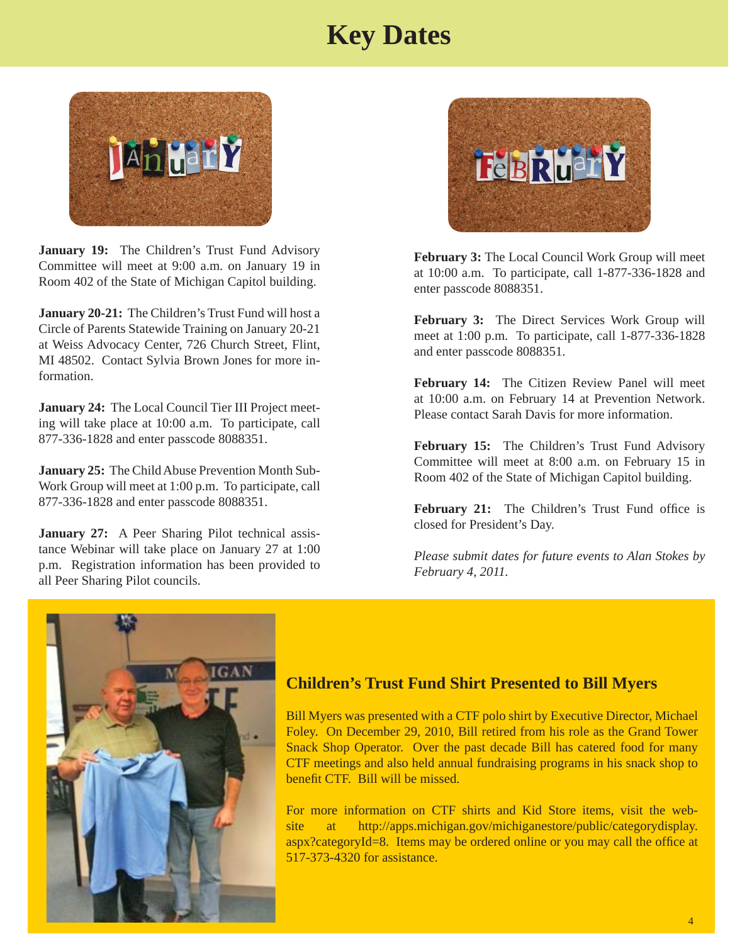# **Key Dates**



January 19: The Children's Trust Fund Advisory Committee will meet at 9:00 a.m. on January 19 in Room 402 of the State of Michigan Capitol building.

**January 20-21:** The Children's Trust Fund will host a Circle of Parents Statewide Training on January 20-21 at Weiss Advocacy Center, 726 Church Street, Flint, MI 48502. Contact Sylvia Brown Jones for more information.

**January 24:** The Local Council Tier III Project meeting will take place at 10:00 a.m. To participate, call 877-336-1828 and enter passcode 8088351.

**January 25:** The Child Abuse Prevention Month Sub-Work Group will meet at 1:00 p.m. To participate, call 877-336-1828 and enter passcode 8088351.

**January 27:** A Peer Sharing Pilot technical assistance Webinar will take place on January 27 at 1:00 p.m. Registration information has been provided to all Peer Sharing Pilot councils.



**February 3:** The Local Council Work Group will meet at 10:00 a.m. To participate, call 1-877-336-1828 and enter passcode 8088351.

**February 3:** The Direct Services Work Group will meet at 1:00 p.m. To participate, call 1-877-336-1828 and enter passcode 8088351.

**February 14:** The Citizen Review Panel will meet at 10:00 a.m. on February 14 at Prevention Network. Please contact Sarah Davis for more information.

**February 15:** The Children's Trust Fund Advisory Committee will meet at 8:00 a.m. on February 15 in Room 402 of the State of Michigan Capitol building.

**February 21:** The Children's Trust Fund office is closed for President's Day.

*Please submit dates for future events to Alan Stokes by February 4, 2011.*



#### **Children's Trust Fund Shirt Presented to Bill Myers**

Bill Myers was presented with a CTF polo shirt by Executive Director, Michael Foley. On December 29, 2010, Bill retired from his role as the Grand Tower Snack Shop Operator. Over the past decade Bill has catered food for many CTF meetings and also held annual fundraising programs in his snack shop to benefit CTF. Bill will be missed.

For more information on CTF shirts and Kid Store items, visit the web[site at http://apps.michigan.gov/michiganestore/public/categorydisplay.](https://apps.michigan.gov/michiganestore/public/categorydisplay.aspx?categoryId=8) aspx?categoryId=8. Items may be ordered online or you may call the office at 517-373-4320 for assistance.